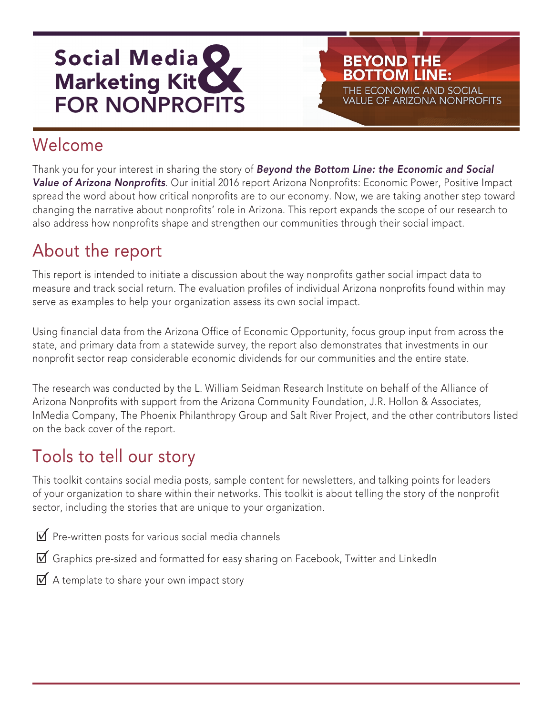

# Welcome

Thank you for your interest in sharing the story of Beyond the Bottom Line: the Economic and Social Value of Arizona Nonprofits. Our initial 2016 report Arizona Nonprofits: Economic Power, Positive Impact spread the word about how critical nonprofits are to our economy. Now, we are taking another step toward changing the narrative about nonprofits' role in Arizona. This report expands the scope of our research to also address how nonprofits shape and strengthen our communities through their social impact.

**BEYOND THE BOTTOM LINE:** 

THE ECONOMIC AND SOCIAL **VALUE OF ARIZONA NONPROFITS** 

### About the report

This report is intended to initiate a discussion about the way nonprofits gather social impact data to measure and track social return. The evaluation profiles of individual Arizona nonprofits found within may serve as examples to help your organization assess its own social impact.

Using financial data from the Arizona Office of Economic Opportunity, focus group input from across the state, and primary data from a statewide survey, the report also demonstrates that investments in our nonprofit sector reap considerable economic dividends for our communities and the entire state.

The research was conducted by the L. William Seidman Research Institute on behalf of the Alliance of Arizona Nonprofits with support from the Arizona Community Foundation, J.R. Hollon & Associates, InMedia Company, The Phoenix Philanthropy Group and Salt River Project, and the other contributors listed on the back cover of the report.

### Tools to tell our story

This toolkit contains social media posts, sample content for newsletters, and talking points for leaders of your organization to share within their networks. This toolkit is about telling the story of the nonprofit sector, including the stories that are unique to your organization.

 $\mathbf F$  Pre-written posts for various social media channels

- Graphics pre-sized and formatted for easy sharing on Facebook, Twitter and LinkedIn
- $\overline{V}$  A template to share your own impact story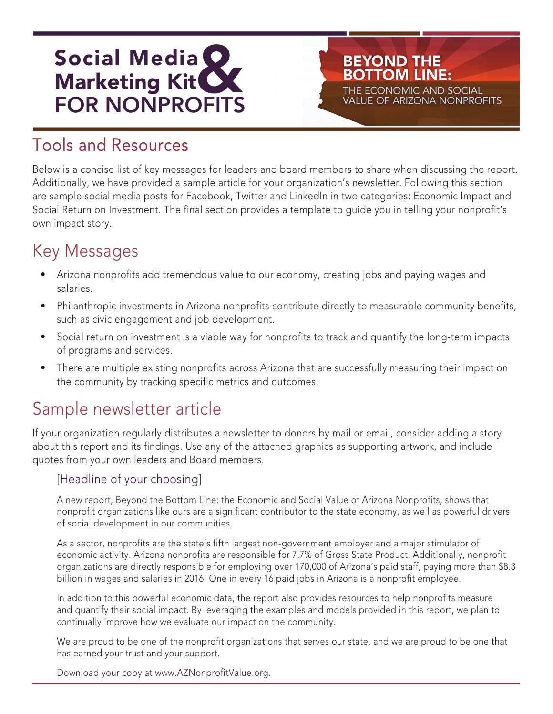

### Tools and Resources

Below is a concise list of key messages for leaders and board members to share when discussing the report. Additionally, we have provided a sample article for your organization's newsletter. Following this section are sample social media posts for Facebook, Twitter and LinkedIn in two categories: Economic Impact and Social Return on Investment. The final section provides a template to guide you in telling your nonprofit's own impact story.

**BEYOND THE BOTTOM LINE:** 

THE ECONOMIC AND SOCIAL **VALUE OF ARIZONA NONPROFITS** 

### Key Messages

- Arizona nonprofits add tremendous value to our economy, creating jobs and paying wages and salaries.
- Philanthropic investments in Arizona nonprofits contribute directly to measurable community benefits, such as civic engagement and job development.
- Social return on investment is a viable way for nonprofits to track and quantify the long-term impacts of programs and services.
- There are multiple existing nonprofits across Arizona that are successfully measuring their impact on the community by tracking specific metrics and outcomes.

### Sample newsletter article

If your organization regularly distributes a newsletter to donors by mail or email, consider adding a story about this report and its findings. Use any of the attached graphics as supporting artwork, and include quotes from your own leaders and Board members.

#### [Headline of your choosing]

A new report, Beyond the Bottom Line: the Economic and Social Value of Arizona Nonprofits, shows that nonprofit organizations like ours are a significant contributor to the state economy, as well as powerful drivers of social development in our communities.

As a sector, nonprofits are the state's fifth largest non-government employer and a major stimulator of economic activity. Arizona nonprofits are responsible for 7.7% of Gross State Product. Additionally, nonprofit organizations are directly responsible for employing over 170,000 of Arizona's paid staff, paying more than \$8.3 billion in wages and salaries in 2016. One in every 16 paid jobs in Arizona is a nonprofit employee.

In addition to this powerful economic data, the report also provides resources to help nonprofits measure and quantify their social impact. By leveraging the examples and models provided in this report, we plan to continually improve how we evaluate our impact on the community.

We are proud to be one of the nonprofit organizations that serves our state, and we are proud to be one that has earned your trust and your support.

Download your copy at www.AZNonprofitValue.org.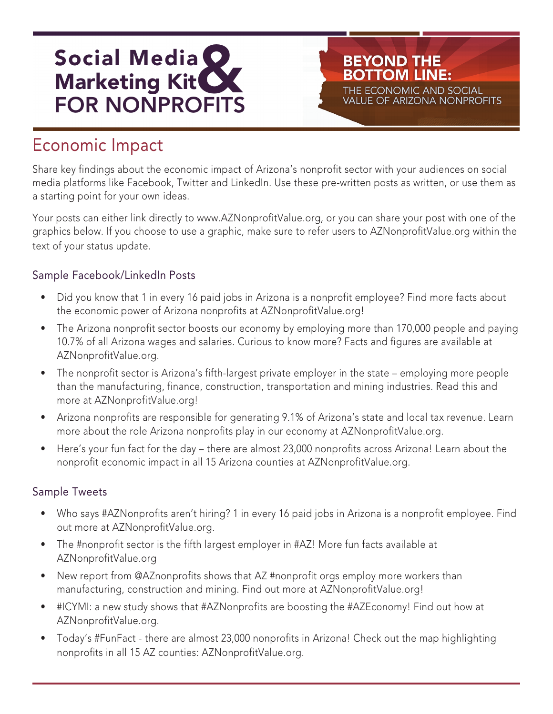

### Economic Impact

Share key findings about the economic impact of Arizona's nonprofit sector with your audiences on social media platforms like Facebook, Twitter and LinkedIn. Use these pre-written posts as written, or use them as a starting point for your own ideas.

**BEYOND THE BOTTOM LINE:** 

THE ECONOMIC AND SOCIAL **VALUE OF ARIZONA NONPROFITS** 

Your posts can either link directly to www.AZNonprofitValue.org, or you can share your post with one of the graphics below. If you choose to use a graphic, make sure to refer users to AZNonprofitValue.org within the text of your status update.

#### Sample Facebook/LinkedIn Posts

- Did you know that 1 in every 16 paid jobs in Arizona is a nonprofit employee? Find more facts about the economic power of Arizona nonprofits at AZNonprofitValue.org!
- The Arizona nonprofit sector boosts our economy by employing more than 170,000 people and paying 10.7% of all Arizona wages and salaries. Curious to know more? Facts and figures are available at AZNonprofitValue.org.
- The nonprofit sector is Arizona's fifth-largest private employer in the state employing more people than the manufacturing, finance, construction, transportation and mining industries. Read this and more at AZNonprofitValue.org!
- Arizona nonprofits are responsible for generating 9.1% of Arizona's state and local tax revenue. Learn more about the role Arizona nonprofits play in our economy at AZNonprofitValue.org.
- Here's your fun fact for the day there are almost 23,000 nonprofits across Arizona! Learn about the nonprofit economic impact in all 15 Arizona counties at AZNonprofitValue.org.

#### Sample Tweets

- Who says #AZNonprofits aren't hiring? 1 in every 16 paid jobs in Arizona is a nonprofit employee. Find out more at AZNonprofitValue.org.
- The #nonprofit sector is the fifth largest employer in #AZ! More fun facts available at AZNonprofitValue.org
- New report from @AZnonprofits shows that AZ #nonprofit orgs employ more workers than manufacturing, construction and mining. Find out more at AZNonprofitValue.org!
- #ICYMI: a new study shows that #AZNonprofits are boosting the #AZEconomy! Find out how at AZNonprofitValue.org.
- Today's #FunFact there are almost 23,000 nonprofits in Arizona! Check out the map highlighting nonprofits in all 15 AZ counties: AZNonprofitValue.org.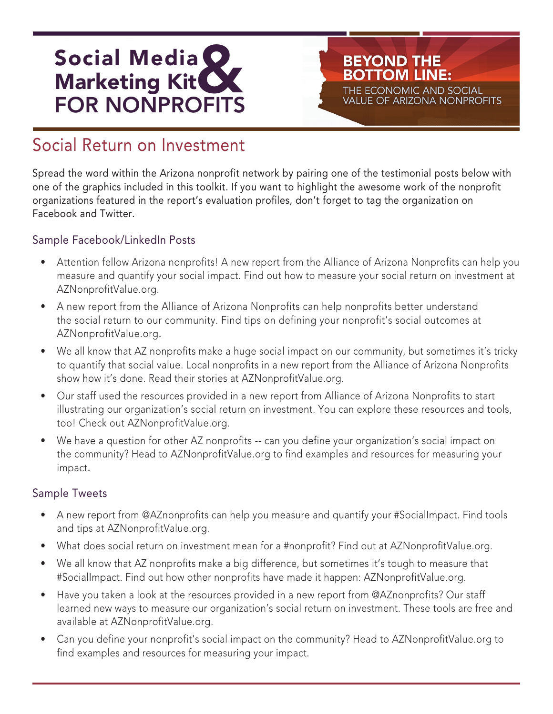

### Social Return on Investment

Spread the word within the Arizona nonprofit network by pairing one of the testimonial posts below with one of the graphics included in this toolkit. If you want to highlight the awesome work of the nonprofit organizations featured in the report's evaluation profiles, don't forget to tag the organization on Facebook and Twitter.

**BEYOND THE BOTTOM LINE:** 

THE ECONOMIC AND SOCIAL **VALUE OF ARIZONA NONPROFITS** 

#### Sample Facebook/LinkedIn Posts

- Attention fellow Arizona nonprofits! A new report from the Alliance of Arizona Nonprofits can help you measure and quantify your social impact. Find out how to measure your social return on investment at AZNonprofitValue.org.
- A new report from the Alliance of Arizona Nonprofits can help nonprofits better understand the social return to our community. Find tips on defining your nonprofit's social outcomes at AZNonprofitValue.org.
- We all know that AZ nonprofits make a huge social impact on our community, but sometimes it's tricky to quantify that social value. Local nonprofits in a new report from the Alliance of Arizona Nonprofits show how it's done. Read their stories at AZNonprofitValue.org.
- Our staff used the resources provided in a new report from Alliance of Arizona Nonprofits to start illustrating our organization's social return on investment. You can explore these resources and tools, too! Check out AZNonprofitValue.org.
- We have a question for other AZ nonprofits -- can you define your organization's social impact on the community? Head to AZNonprofitValue.org to find examples and resources for measuring your impact.

#### Sample Tweets

- A new report from @AZnonprofits can help you measure and quantify your #SocialImpact. Find tools and tips at AZNonprofitValue.org.
- What does social return on investment mean for a #nonprofit? Find out at AZNonprofitValue.org.
- We all know that AZ nonprofits make a big difference, but sometimes it's tough to measure that #SocialImpact. Find out how other nonprofits have made it happen: AZNonprofitValue.org.
- Have you taken a look at the resources provided in a new report from @AZnonprofits? Our staff learned new ways to measure our organization's social return on investment. These tools are free and available at AZNonprofitValue.org.
- Can you define your nonprofit's social impact on the community? Head to AZNonprofitValue.org to find examples and resources for measuring your impact.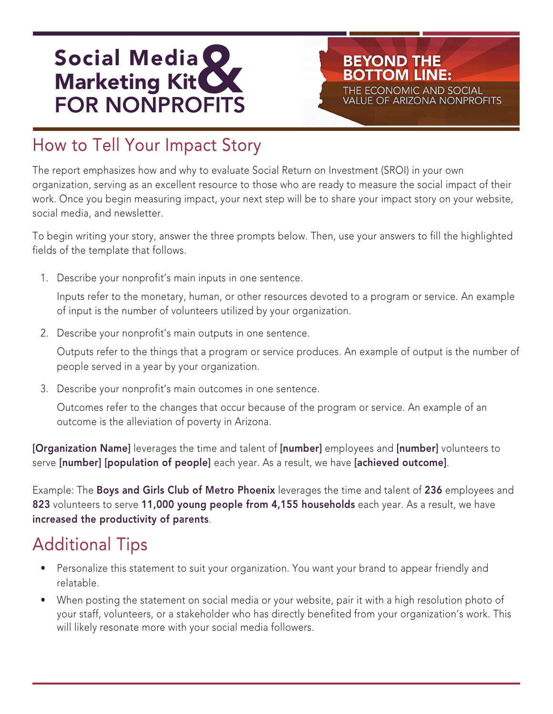

# How to Tell Your Impact Story

The report emphasizes how and why to evaluate Social Return on Investment (SROI) in your own organization, serving as an excellent resource to those who are ready to measure the social impact of their work. Once you begin measuring impact, your next step will be to share your impact story on your website, social media, and newsletter.

**BEYOND THE BOTTOM LINE:** 

THE ECONOMIC AND SOCIAL **VALUE OF ARIZONA NONPROFITS** 

To begin writing your story, answer the three prompts below. Then, use your answers to fill the highlighted fields of the template that follows.

1. Describe your nonprofit's main inputs in one sentence.

Inputs refer to the monetary, human, or other resources devoted to a program or service. An example of input is the number of volunteers utilized by your organization.

2. Describe your nonprofit's main outputs in one sentence.

Outputs refer to the things that a program or service produces. An example of output is the number of people served in a year by your organization.

3. Describe your nonprofit's main outcomes in one sentence.

Outcomes refer to the changes that occur because of the program or service. An example of an outcome is the alleviation of poverty in Arizona.

[Organization Name] leverages the time and talent of [number] employees and [number] volunteers to serve [number] [population of people] each year. As a result, we have [achieved outcome].

Example: The Boys and Girls Club of Metro Phoenix leverages the time and talent of 236 employees and 823 volunteers to serve 11,000 young people from 4,155 households each year. As a result, we have increased the productivity of parents.

### Additional Tips

- Personalize this statement to suit your organization. You want your brand to appear friendly and relatable.
- When posting the statement on social media or your website, pair it with a high resolution photo of your staff, volunteers, or a stakeholder who has directly benefited from your organization's work. This will likely resonate more with your social media followers.